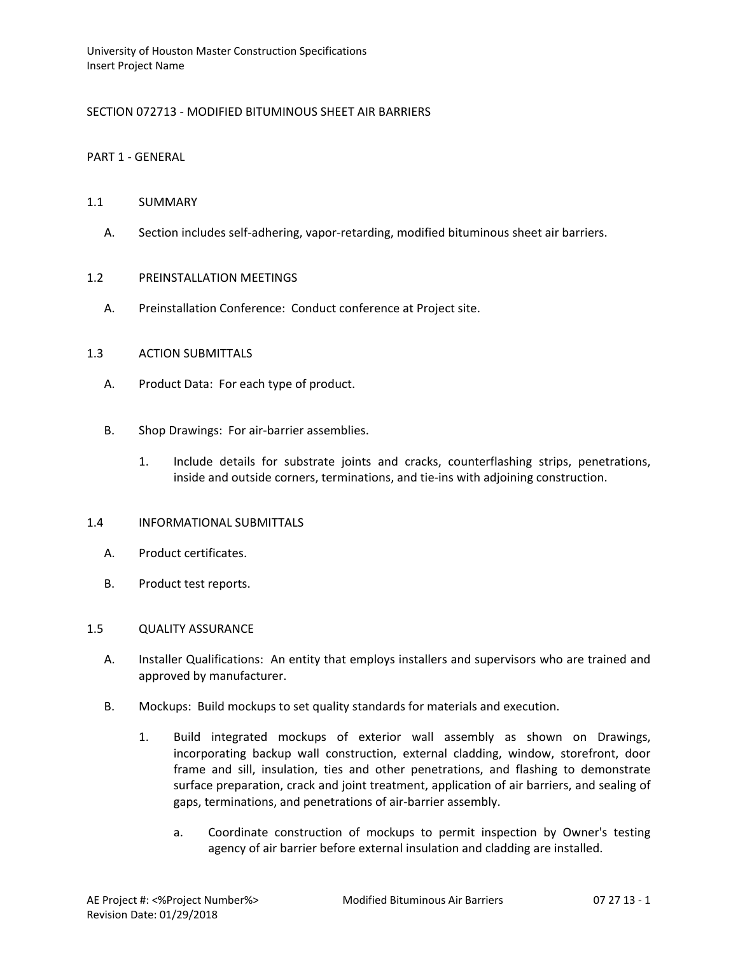# SECTION 072713 - MODIFIED BITUMINOUS SHEET AIR BARRIERS

### PART 1 - GENERAL

# 1.1 SUMMARY

A. Section includes self-adhering, vapor-retarding, modified bituminous sheet air barriers.

# 1.2 PREINSTALLATION MEETINGS

A. Preinstallation Conference: Conduct conference at Project site.

# 1.3 ACTION SUBMITTALS

- A. Product Data: For each type of product.
- B. Shop Drawings: For air-barrier assemblies.
	- 1. Include details for substrate joints and cracks, counterflashing strips, penetrations, inside and outside corners, terminations, and tie-ins with adjoining construction.

#### 1.4 INFORMATIONAL SUBMITTALS

- A. Product certificates.
- B. Product test reports.

#### 1.5 QUALITY ASSURANCE

- A. Installer Qualifications: An entity that employs installers and supervisors who are trained and approved by manufacturer.
- B. Mockups: Build mockups to set quality standards for materials and execution.
	- 1. Build integrated mockups of exterior wall assembly as shown on Drawings, incorporating backup wall construction, external cladding, window, storefront, door frame and sill, insulation, ties and other penetrations, and flashing to demonstrate surface preparation, crack and joint treatment, application of air barriers, and sealing of gaps, terminations, and penetrations of air-barrier assembly.
		- a. Coordinate construction of mockups to permit inspection by Owner's testing agency of air barrier before external insulation and cladding are installed.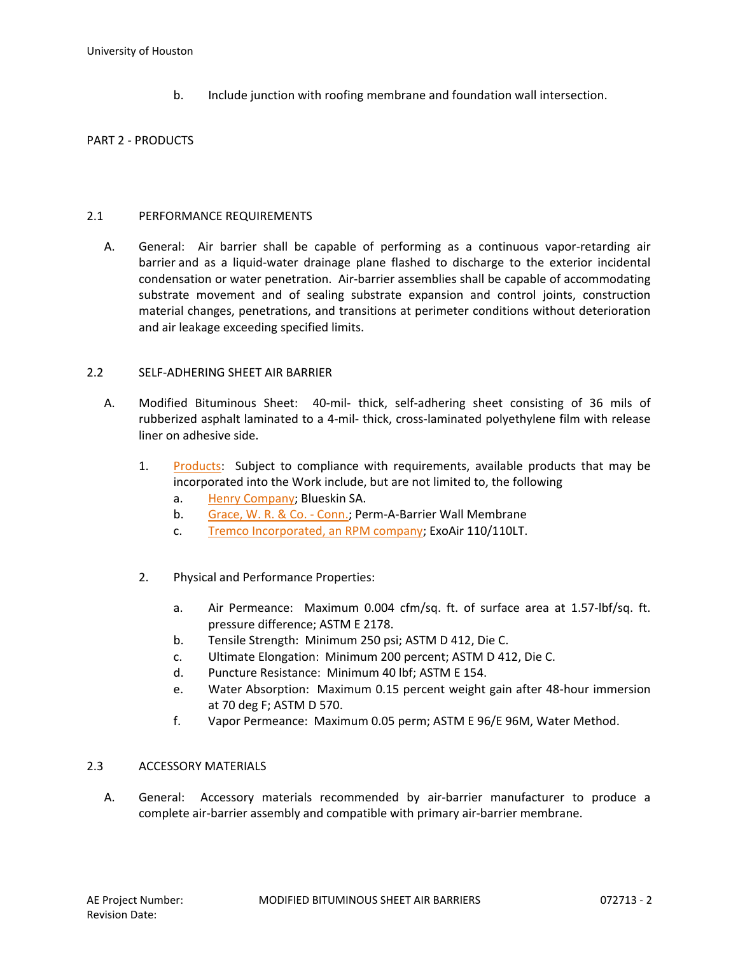b. Include junction with roofing membrane and foundation wall intersection.

# PART 2 - PRODUCTS

# 2.1 PERFORMANCE REQUIREMENTS

A. General: Air barrier shall be capable of performing as a continuous vapor-retarding air barrier and as a liquid-water drainage plane flashed to discharge to the exterior incidental condensation or water penetration. Air-barrier assemblies shall be capable of accommodating substrate movement and of sealing substrate expansion and control joints, construction material changes, penetrations, and transitions at perimeter conditions without deterioration and air leakage exceeding specified limits.

# 2.2 SELF-ADHERING SHEET AIR BARRIER

- A. Modified Bituminous Sheet: 40-mil- thick, self-adhering sheet consisting of 36 mils of rubberized asphalt laminated to a 4-mil- thick, cross-laminated polyethylene film with release liner on adhesive side.
	- 1. [Products:](http://www.specagent.com/LookUp/?ulid=6266&mf=04&src=wd) Subject to compliance with requirements, available products that may be incorporated into the Work include, but are not limited to, the following
		- a. [Henry Company;](http://www.specagent.com/LookUp/?uid=123456830761&mf=04&src=wd) Blueskin SA.
		- b. [Grace, W. R. & Co. -](http://www.specagent.com/LookUp/?uid=123456830760&mf=04&src=wd) Conn.; Perm-A-Barrier Wall Membrane
		- c. [Tremco Incorporated, an RPM company;](http://www.specagent.com/LookUp/?uid=123456830763&mf=04&src=wd) ExoAir 110/110LT.
	- 2. Physical and Performance Properties:
		- a. Air Permeance: Maximum 0.004 cfm/sq. ft. of surface area at 1.57-lbf/sq. ft. pressure difference; ASTM E 2178.
		- b. Tensile Strength: Minimum 250 psi; ASTM D 412, Die C.
		- c. Ultimate Elongation: Minimum 200 percent; ASTM D 412, Die C.
		- d. Puncture Resistance: Minimum 40 lbf; ASTM E 154.
		- e. Water Absorption: Maximum 0.15 percent weight gain after 48-hour immersion at 70 deg F; ASTM D 570.
		- f. Vapor Permeance: Maximum 0.05 perm; ASTM E 96/E 96M, Water Method.

# 2.3 ACCESSORY MATERIALS

A. General: Accessory materials recommended by air-barrier manufacturer to produce a complete air-barrier assembly and compatible with primary air-barrier membrane.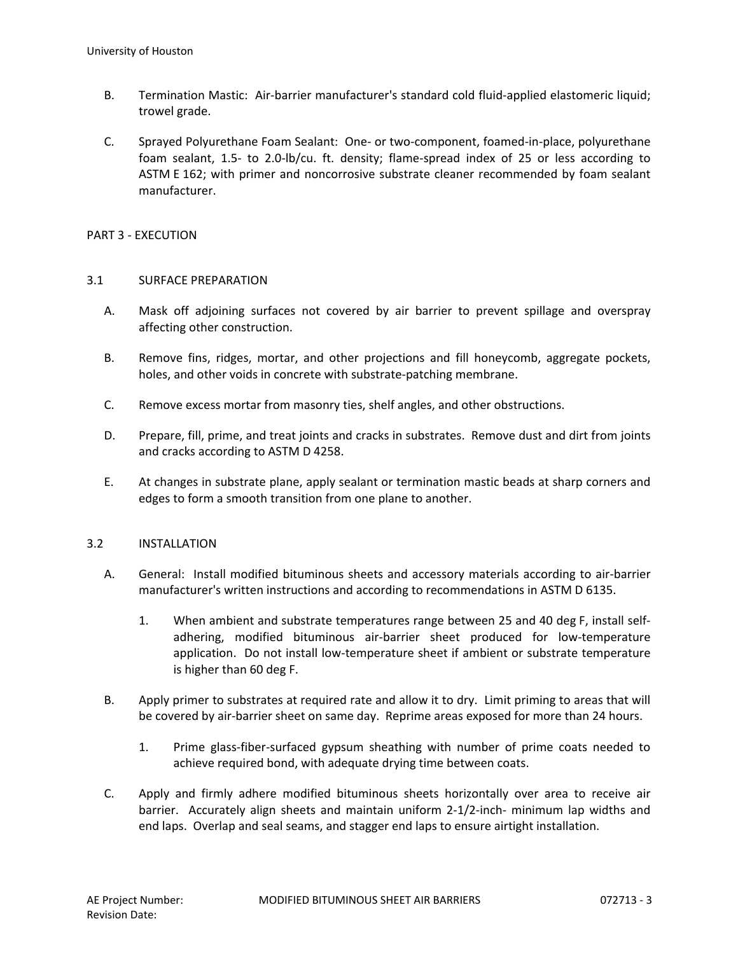- B. Termination Mastic: Air-barrier manufacturer's standard cold fluid-applied elastomeric liquid; trowel grade.
- C. Sprayed Polyurethane Foam Sealant: One- or two-component, foamed-in-place, polyurethane foam sealant, 1.5- to 2.0-lb/cu. ft. density; flame-spread index of 25 or less according to ASTM E 162; with primer and noncorrosive substrate cleaner recommended by foam sealant manufacturer.

# PART 3 - EXECUTION

# 3.1 SURFACE PREPARATION

- A. Mask off adjoining surfaces not covered by air barrier to prevent spillage and overspray affecting other construction.
- B. Remove fins, ridges, mortar, and other projections and fill honeycomb, aggregate pockets, holes, and other voids in concrete with substrate-patching membrane.
- C. Remove excess mortar from masonry ties, shelf angles, and other obstructions.
- D. Prepare, fill, prime, and treat joints and cracks in substrates. Remove dust and dirt from joints and cracks according to ASTM D 4258.
- E. At changes in substrate plane, apply sealant or termination mastic beads at sharp corners and edges to form a smooth transition from one plane to another.

# 3.2 INSTALLATION

- A. General: Install modified bituminous sheets and accessory materials according to air-barrier manufacturer's written instructions and according to recommendations in ASTM D 6135.
	- 1. When ambient and substrate temperatures range between 25 and 40 deg F, install selfadhering, modified bituminous air-barrier sheet produced for low-temperature application. Do not install low-temperature sheet if ambient or substrate temperature is higher than 60 deg F.
- B. Apply primer to substrates at required rate and allow it to dry. Limit priming to areas that will be covered by air-barrier sheet on same day. Reprime areas exposed for more than 24 hours.
	- 1. Prime glass-fiber-surfaced gypsum sheathing with number of prime coats needed to achieve required bond, with adequate drying time between coats.
- C. Apply and firmly adhere modified bituminous sheets horizontally over area to receive air barrier. Accurately align sheets and maintain uniform 2-1/2-inch- minimum lap widths and end laps. Overlap and seal seams, and stagger end laps to ensure airtight installation.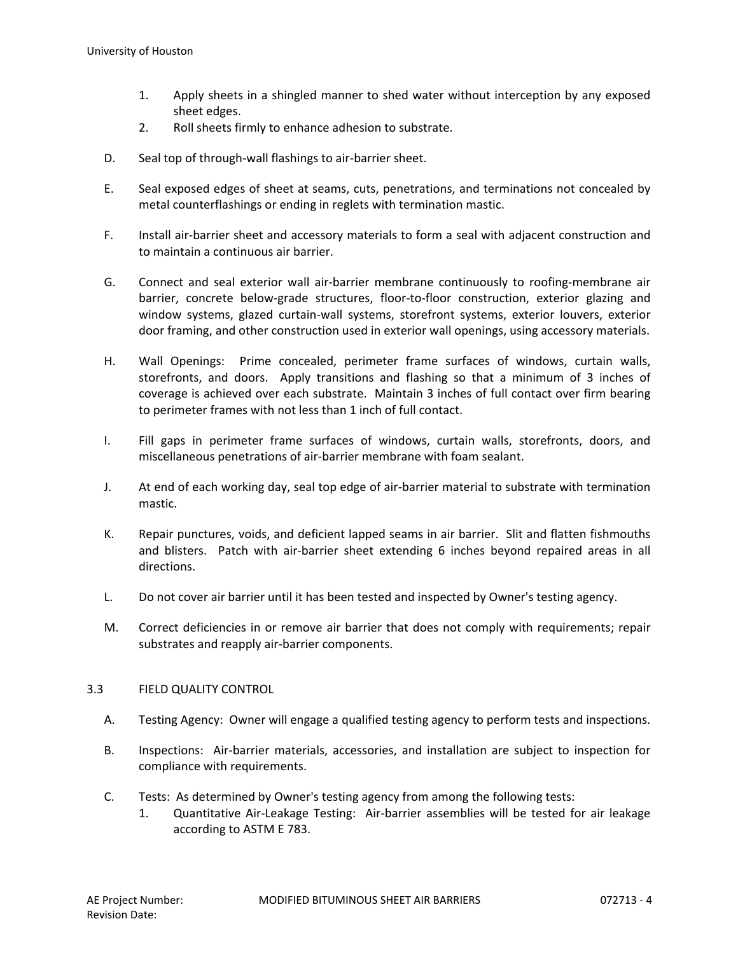- 1. Apply sheets in a shingled manner to shed water without interception by any exposed sheet edges.
- 2. Roll sheets firmly to enhance adhesion to substrate.
- D. Seal top of through-wall flashings to air-barrier sheet.
- E. Seal exposed edges of sheet at seams, cuts, penetrations, and terminations not concealed by metal counterflashings or ending in reglets with termination mastic.
- F. Install air-barrier sheet and accessory materials to form a seal with adjacent construction and to maintain a continuous air barrier.
- G. Connect and seal exterior wall air-barrier membrane continuously to roofing-membrane air barrier, concrete below-grade structures, floor-to-floor construction, exterior glazing and window systems, glazed curtain-wall systems, storefront systems, exterior louvers, exterior door framing, and other construction used in exterior wall openings, using accessory materials.
- H. Wall Openings: Prime concealed, perimeter frame surfaces of windows, curtain walls, storefronts, and doors. Apply transitions and flashing so that a minimum of 3 inches of coverage is achieved over each substrate. Maintain 3 inches of full contact over firm bearing to perimeter frames with not less than 1 inch of full contact.
- I. Fill gaps in perimeter frame surfaces of windows, curtain walls, storefronts, doors, and miscellaneous penetrations of air-barrier membrane with foam sealant.
- J. At end of each working day, seal top edge of air-barrier material to substrate with termination mastic.
- K. Repair punctures, voids, and deficient lapped seams in air barrier. Slit and flatten fishmouths and blisters. Patch with air-barrier sheet extending 6 inches beyond repaired areas in all directions.
- L. Do not cover air barrier until it has been tested and inspected by Owner's testing agency.
- M. Correct deficiencies in or remove air barrier that does not comply with requirements; repair substrates and reapply air-barrier components.

# 3.3 FIELD QUALITY CONTROL

- A. Testing Agency: Owner will engage a qualified testing agency to perform tests and inspections.
- B. Inspections: Air-barrier materials, accessories, and installation are subject to inspection for compliance with requirements.
- C. Tests: As determined by Owner's testing agency from among the following tests:
	- 1. Quantitative Air-Leakage Testing: Air-barrier assemblies will be tested for air leakage according to ASTM E 783.